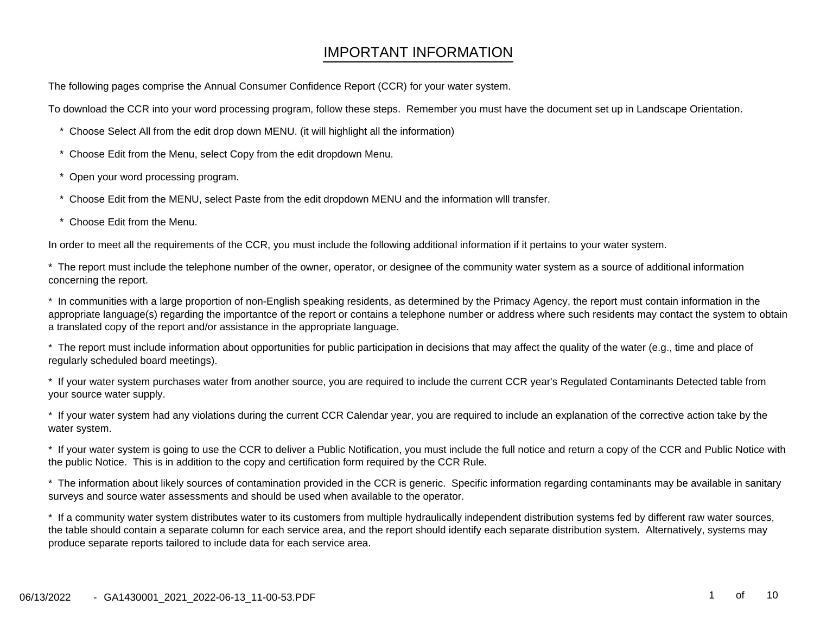# IMPORTANT INFORMATION

The following pages comprise the Annual Consumer Confidence Report (CCR) for your water system.

To download the CCR into your word processing program, follow these steps. Remember you must have the document set up in Landscape Orientation.

- \* Choose Select All from the edit drop down MENU. (it will highlight all the information)
- \* Choose Edit from the Menu, select Copy from the edit dropdown Menu.
- Open your word processing program.
- \* Choose Edit from the MENU, select Paste from the edit dropdown MENU and the information wlll transfer.
- Choose Edit from the Menu.

In order to meet all the requirements of the CCR, you must include the following additional information if it pertains to your water system.

\* The report must include the telephone number of the owner, operator, or designee of the community water system as a source of additional informationconcerning the report.

\* In communities with a large proportion of non-English speaking residents, as determined by the Primacy Agency, the report must contain information in the appropriate language(s) regarding the importantce of the report or contains a telephone number or address where such residents may contact the system to obtaina translated copy of the report and/or assistance in the appropriate language.

\* The report must include information about opportunities for public participation in decisions that may affect the quality of the water (e.g., time and place ofregularly scheduled board meetings).

\* If your water system purchases water from another source, you are required to include the current CCR year's Regulated Contaminants Detected table fromyour source water supply.

\* If your water system had any violations during the current CCR Calendar year, you are required to include an explanation of the corrective action take by thewater system.

\* If your water system is going to use the CCR to deliver a Public Notification, you must include the full notice and return a copy of the CCR and Public Notice withthe public Notice. This is in addition to the copy and certification form required by the CCR Rule.

\* The information about likely sources of contamination provided in the CCR is generic. Specific information regarding contaminants may be available in sanitarysurveys and source water assessments and should be used when available to the operator.

\* If a community water system distributes water to its customers from multiple hydraulically independent distribution systems fed by different raw water sources,the table should contain a separate column for each service area, and the report should identify each separate distribution system. Alternatively, systems mayproduce separate reports tailored to include data for each service area.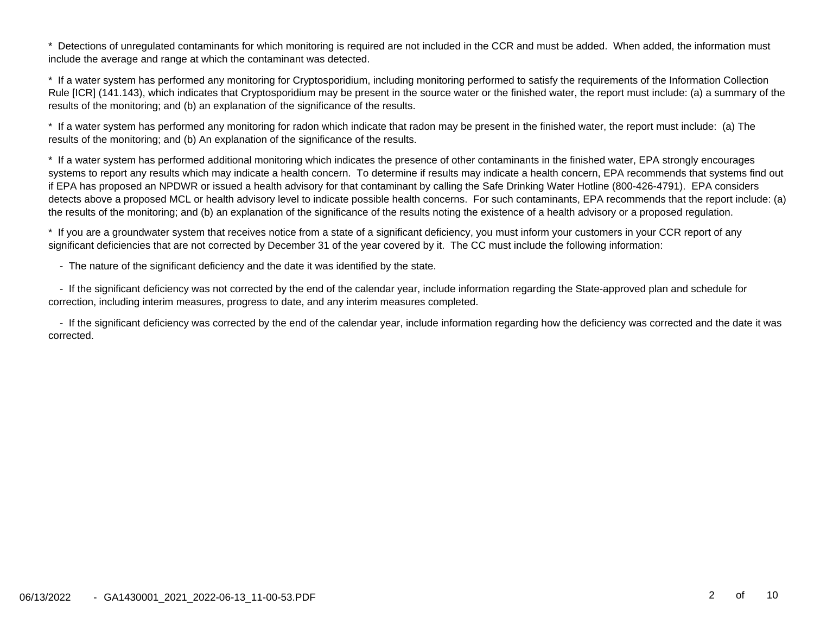Detections of unregulated contaminants for which monitoring is required are not included in the CCR and must be added. When added, the information must include the average and range at which the contaminant was detected.

\* If a water system has performed any monitoring for Cryptosporidium, including monitoring performed to satisfy the requirements of the Information Collection Rule [ICR] (141.143), which indicates that Cryptosporidium may be present in the source water or the finished water, the report must include: (a) a summary of theresults of the monitoring; and (b) an explanation of the significance of the results.

\* If a water system has performed any monitoring for radon which indicate that radon may be present in the finished water, the report must include: (a) Theresults of the monitoring; and (b) An explanation of the significance of the results.

\* If a water system has performed additional monitoring which indicates the presence of other contaminants in the finished water, EPA strongly encourages systems to report any results which may indicate a health concern. To determine if results may indicate a health concern, EPA recommends that systems find outif EPA has proposed an NPDWR or issued a health advisory for that contaminant by calling the Safe Drinking Water Hotline (800-426-4791). EPA considers detects above a proposed MCL or health advisory level to indicate possible health concerns. For such contaminants, EPA recommends that the report include: (a)the results of the monitoring; and (b) an explanation of the significance of the results noting the existence of a health advisory or a proposed regulation.

\* If you are a groundwater system that receives notice from a state of a significant deficiency, you must inform your customers in your CCR report of anysignificant deficiencies that are not corrected by December 31 of the year covered by it. The CC must include the following information:

- The nature of the significant deficiency and the date it was identified by the state.

 - If the significant deficiency was not corrected by the end of the calendar year, include information regarding the State-approved plan and schedule forcorrection, including interim measures, progress to date, and any interim measures completed.

 - If the significant deficiency was corrected by the end of the calendar year, include information regarding how the deficiency was corrected and the date it wascorrected.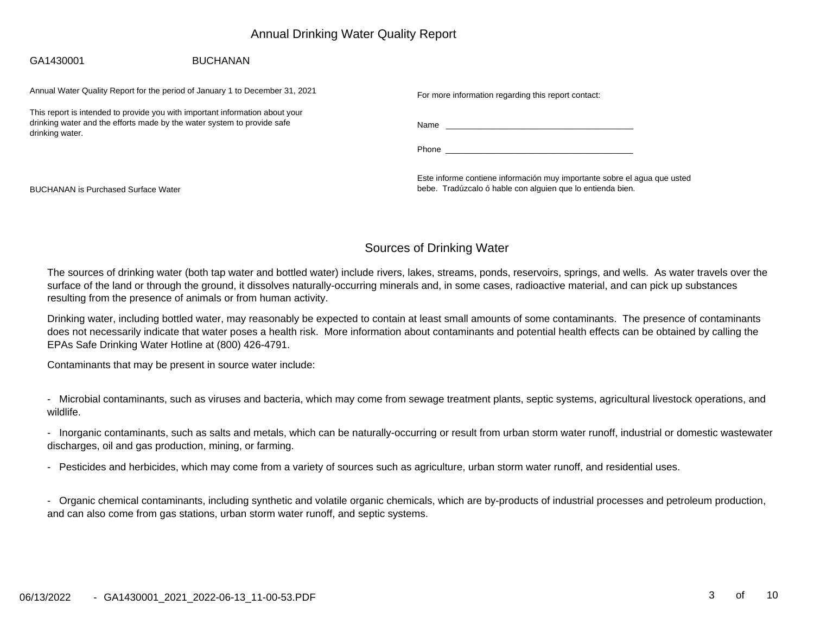## Annual Drinking Water Quality Report

#### **BUCHANAN** GA1430001

Annual Water Quality Report for the period of January 1 to December 31, 2021

This report is intended to provide you with important information about yourdrinking water and the efforts made by the water system to provide safedrinking water.

For more information regarding this report contact:

Name \_\_\_\_\_\_\_\_\_\_\_\_\_\_\_\_\_\_\_\_\_\_\_\_\_\_\_\_\_\_\_\_\_\_\_\_\_\_\_\_\_

Phone \_\_\_\_\_\_\_\_\_\_\_\_\_\_\_\_\_\_\_\_\_\_\_\_\_\_\_\_\_\_\_\_\_\_\_\_\_\_\_\_\_

Este informe contiene información muy importante sobre el agua que ustedbebe. Tradúzcalo ó hable con alguien que lo entienda bien.

BUCHANAN is Purchased Surface Water

#### Sources of Drinking Water

The sources of drinking water (both tap water and bottled water) include rivers, lakes, streams, ponds, reservoirs, springs, and wells. As water travels over thesurface of the land or through the ground, it dissolves naturally-occurring minerals and, in some cases, radioactive material, and can pick up substancesresulting from the presence of animals or from human activity.

Drinking water, including bottled water, may reasonably be expected to contain at least small amounts of some contaminants. The presence of contaminants does not necessarily indicate that water poses a health risk. More information about contaminants and potential health effects can be obtained by calling theEPAs Safe Drinking Water Hotline at (800) 426-4791.

Contaminants that may be present in source water include:

- Microbial contaminants, such as viruses and bacteria, which may come from sewage treatment plants, septic systems, agricultural livestock operations, andwildlife.

- Inorganic contaminants, such as salts and metals, which can be naturally-occurring or result from urban storm water runoff, industrial or domestic wastewaterdischarges, oil and gas production, mining, or farming.

- Pesticides and herbicides, which may come from a variety of sources such as agriculture, urban storm water runoff, and residential uses.

- Organic chemical contaminants, including synthetic and volatile organic chemicals, which are by-products of industrial processes and petroleum production,and can also come from gas stations, urban storm water runoff, and septic systems.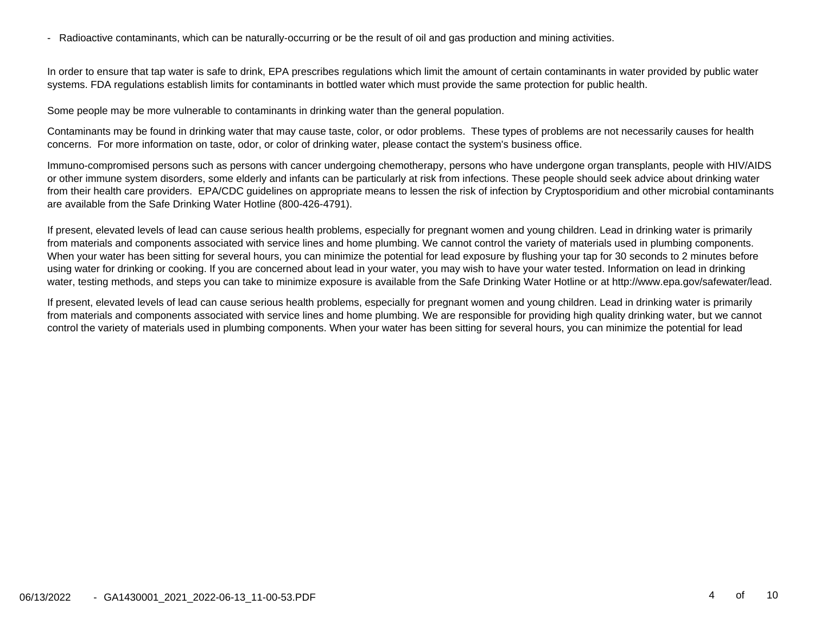- Radioactive contaminants, which can be naturally-occurring or be the result of oil and gas production and mining activities.

In order to ensure that tap water is safe to drink, EPA prescribes regulations which limit the amount of certain contaminants in water provided by public watersystems. FDA regulations establish limits for contaminants in bottled water which must provide the same protection for public health.

Some people may be more vulnerable to contaminants in drinking water than the general population.

Contaminants may be found in drinking water that may cause taste, color, or odor problems. These types of problems are not necessarily causes for healthconcerns. For more information on taste, odor, or color of drinking water, please contact the system's business office.

Immuno-compromised persons such as persons with cancer undergoing chemotherapy, persons who have undergone organ transplants, people with HIV/AIDSor other immune system disorders, some elderly and infants can be particularly at risk from infections. These people should seek advice about drinking water from their health care providers. EPA/CDC guidelines on appropriate means to lessen the risk of infection by Cryptosporidium and other microbial contaminantsare available from the Safe Drinking Water Hotline (800-426-4791).

If present, elevated levels of lead can cause serious health problems, especially for pregnant women and young children. Lead in drinking water is primarily from materials and components associated with service lines and home plumbing. We cannot control the variety of materials used in plumbing components.When your water has been sitting for several hours, you can minimize the potential for lead exposure by flushing your tap for 30 seconds to 2 minutes beforeusing water for drinking or cooking. If you are concerned about lead in your water, you may wish to have your water tested. Information on lead in drinkingwater, testing methods, and steps you can take to minimize exposure is available from the Safe Drinking Water Hotline or at http://www.epa.gov/safewater/lead.

If present, elevated levels of lead can cause serious health problems, especially for pregnant women and young children. Lead in drinking water is primarily from materials and components associated with service lines and home plumbing. We are responsible for providing high quality drinking water, but we cannotcontrol the variety of materials used in plumbing components. When your water has been sitting for several hours, you can minimize the potential for lead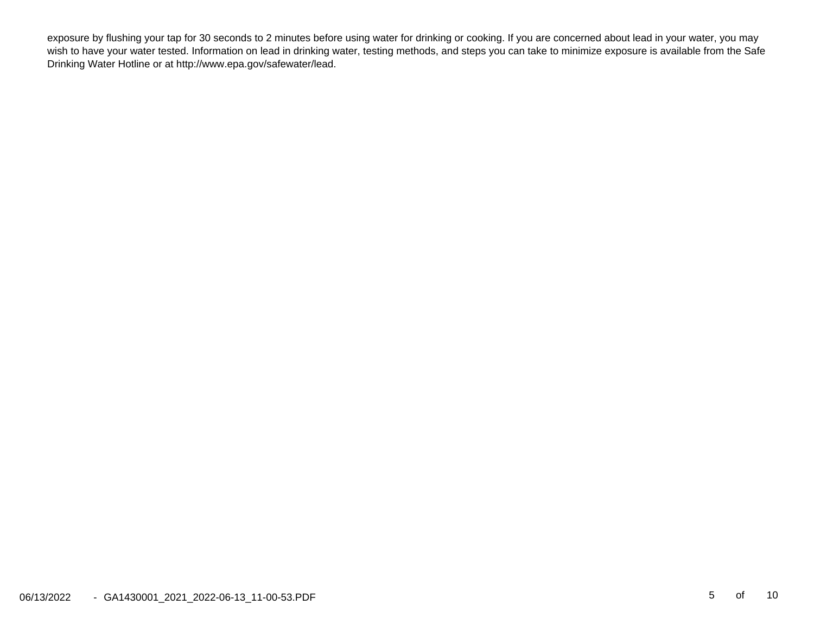exposure by flushing your tap for 30 seconds to 2 minutes before using water for drinking or cooking. If you are concerned about lead in your water, you may wish to have your water tested. Information on lead in drinking water, testing methods, and steps you can take to minimize exposure is available from the SafeDrinking Water Hotline or at http://www.epa.gov/safewater/lead.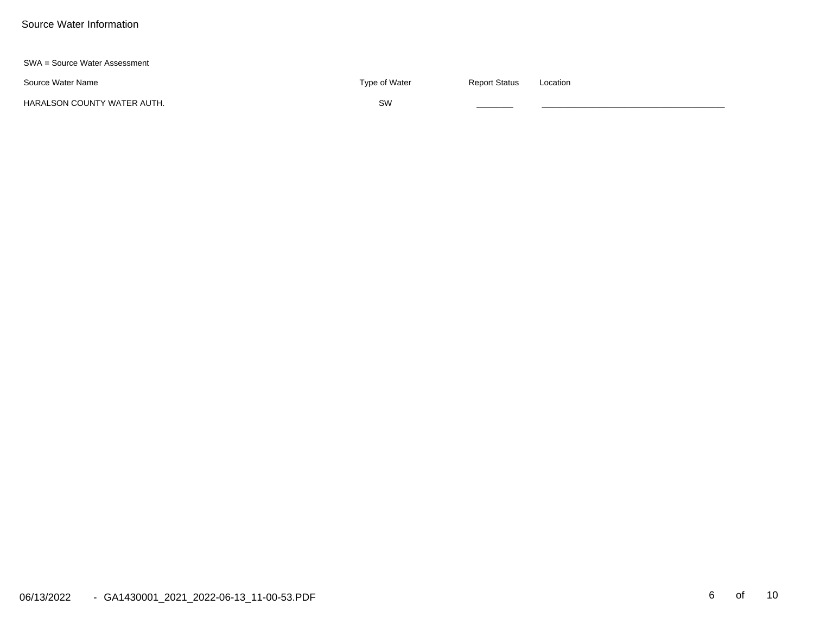#### SWA = Source Water Assessment

Source Water Name

e and the status of the status of the State of Water  $\Gamma$  and  $\Gamma$  Report Status and Location

HARALSON COUNTY WATER AUTH.

 ${\sf SW}$  , and the contract of  ${\sf SW}$  , and the contract of  ${\sf GW}$  , and the contract of  ${\sf GW}$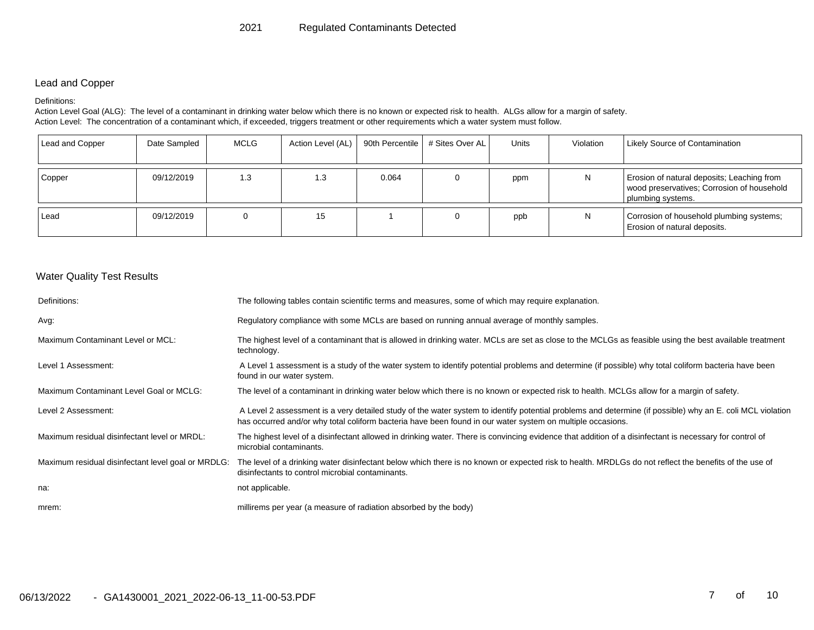#### Lead and Copper

#### Definitions:

Action Level Goal (ALG): The level of a contaminant in drinking water below which there is no known or expected risk to health. ALGs allow for a margin of safety. Action Level: The concentration of a contaminant which, if exceeded, triggers treatment or other requirements which a water system must follow.

| Lead and Copper | Date Sampled | MCLG | Action Level (AL)   90th Percentile   # Sites Over AL |       | <b>Units</b> | Violation | <b>Likely Source of Contamination</b>                                                                         |
|-----------------|--------------|------|-------------------------------------------------------|-------|--------------|-----------|---------------------------------------------------------------------------------------------------------------|
| Copper          | 09/12/2019   | 1.3  | 1.3                                                   | 0.064 | ppm          | N         | Erosion of natural deposits; Leaching from<br>wood preservatives; Corrosion of household<br>plumbing systems. |
| Lead            | 09/12/2019   | O    | 15                                                    |       | ppb          | N         | Corrosion of household plumbing systems;<br>Erosion of natural deposits.                                      |

#### Water Quality Test Results

| Definitions:                                       | The following tables contain scientific terms and measures, some of which may require explanation.                                                                                                                                                                      |  |  |  |
|----------------------------------------------------|-------------------------------------------------------------------------------------------------------------------------------------------------------------------------------------------------------------------------------------------------------------------------|--|--|--|
| Avg:                                               | Regulatory compliance with some MCLs are based on running annual average of monthly samples.                                                                                                                                                                            |  |  |  |
| Maximum Contaminant Level or MCL:                  | The highest level of a contaminant that is allowed in drinking water. MCLs are set as close to the MCLGs as feasible using the best available treatment<br>technology.                                                                                                  |  |  |  |
| Level 1 Assessment:                                | A Level 1 assessment is a study of the water system to identify potential problems and determine (if possible) why total coliform bacteria have been<br>found in our water system.                                                                                      |  |  |  |
| Maximum Contaminant Level Goal or MCLG:            | The level of a contaminant in drinking water below which there is no known or expected risk to health. MCLGs allow for a margin of safety.                                                                                                                              |  |  |  |
| Level 2 Assessment:                                | A Level 2 assessment is a very detailed study of the water system to identify potential problems and determine (if possible) why an E. coli MCL violation<br>has occurred and/or why total coliform bacteria have been found in our water system on multiple occasions. |  |  |  |
| Maximum residual disinfectant level or MRDL:       | The highest level of a disinfectant allowed in drinking water. There is convincing evidence that addition of a disinfectant is necessary for control of<br>microbial contaminants.                                                                                      |  |  |  |
| Maximum residual disinfectant level goal or MRDLG: | The level of a drinking water disinfectant below which there is no known or expected risk to health. MRDLGs do not reflect the benefits of the use of<br>disinfectants to control microbial contaminants.                                                               |  |  |  |
| na:                                                | not applicable.                                                                                                                                                                                                                                                         |  |  |  |
| mrem:                                              | millirems per year (a measure of radiation absorbed by the body)                                                                                                                                                                                                        |  |  |  |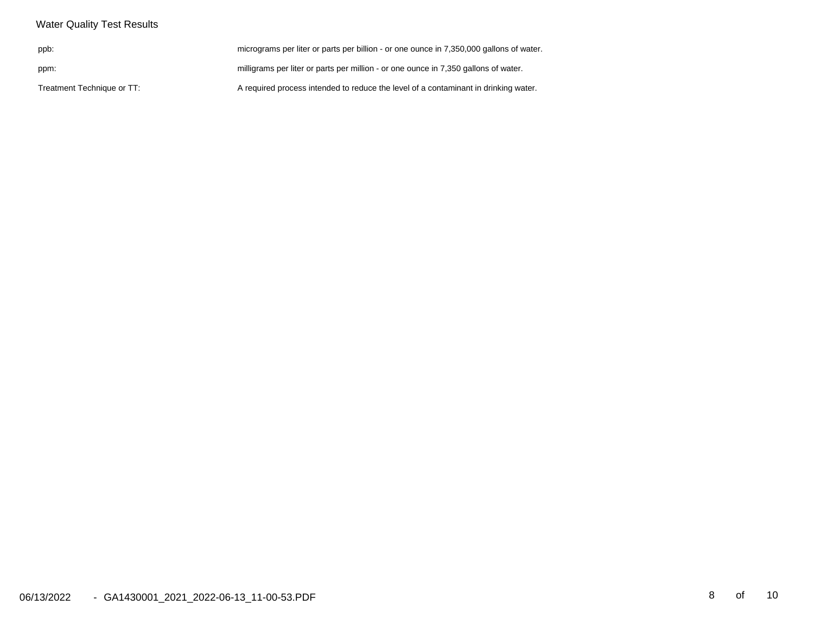| <b>Water Quality Test Results</b> |                                                                                         |
|-----------------------------------|-----------------------------------------------------------------------------------------|
| ppb:                              | micrograms per liter or parts per billion - or one ounce in 7,350,000 gallons of water. |
| ppm:                              | milligrams per liter or parts per million - or one ounce in 7,350 gallons of water.     |
| Treatment Technique or TT:        | A required process intended to reduce the level of a contaminant in drinking water.     |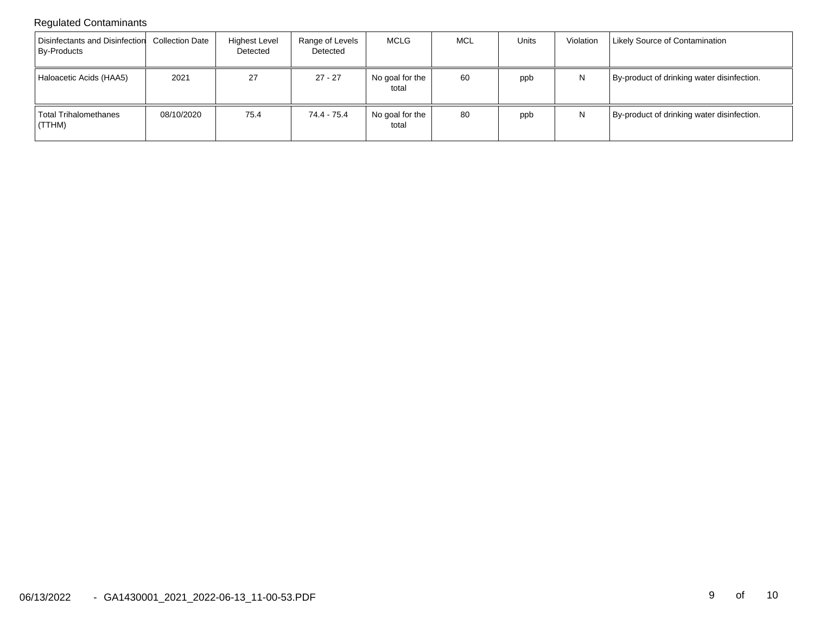## Regulated Contaminants

| Disinfectants and Disinfection<br><b>By-Products</b> | <b>Collection Date</b> | Highest Level<br>Detected | Range of Levels<br>Detected | MCLG                     | MCL | Units | Violation | <b>Likely Source of Contamination</b>      |
|------------------------------------------------------|------------------------|---------------------------|-----------------------------|--------------------------|-----|-------|-----------|--------------------------------------------|
| Haloacetic Acids (HAA5)                              | 2021                   | 27                        | 27 - 27                     | No goal for the<br>total | 60  | ppb   | N         | By-product of drinking water disinfection. |
| Total Trihalomethanes<br>(TTHM)                      | 08/10/2020             | 75.4                      | 74.4 - 75.4                 | No goal for the<br>total | 80  | ppb   | N         | By-product of drinking water disinfection. |